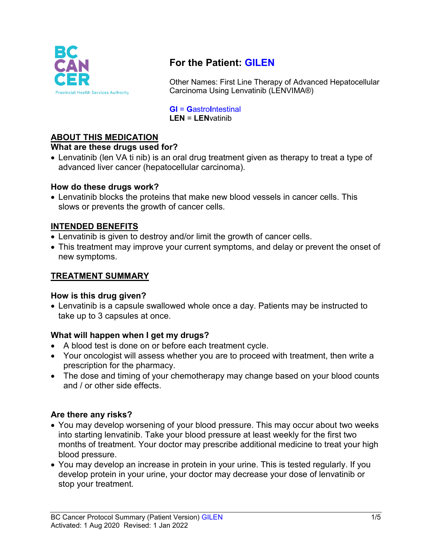

# **For the Patient: GILEN**

Other Names: First Line Therapy of Advanced Hepatocellular Carcinoma Using Lenvatinib (LENVIMA®)

**GI** = **G**astro**I**ntestinal **LEN** = **LEN**vatinib

# **ABOUT THIS MEDICATION**

### **What are these drugs used for?**

• Lenvatinib (len VA ti nib) is an oral drug treatment given as therapy to treat a type of advanced liver cancer (hepatocellular carcinoma).

### **How do these drugs work?**

• Lenvatinib blocks the proteins that make new blood vessels in cancer cells. This slows or prevents the growth of cancer cells.

## **INTENDED BENEFITS**

- Lenvatinib is given to destroy and/or limit the growth of cancer cells.
- This treatment may improve your current symptoms, and delay or prevent the onset of new symptoms.

# **TREATMENT SUMMARY**

### **How is this drug given?**

• Lenvatinib is a capsule swallowed whole once a day. Patients may be instructed to take up to 3 capsules at once.

### **What will happen when I get my drugs?**

- A blood test is done on or before each treatment cycle.
- Your oncologist will assess whether you are to proceed with treatment, then write a prescription for the pharmacy.
- The dose and timing of your chemotherapy may change based on your blood counts and / or other side effects.

### **Are there any risks?**

- You may develop worsening of your blood pressure. This may occur about two weeks into starting lenvatinib. Take your blood pressure at least weekly for the first two months of treatment. Your doctor may prescribe additional medicine to treat your high blood pressure.
- You may develop an increase in protein in your urine. This is tested regularly. If you develop protein in your urine, your doctor may decrease your dose of lenvatinib or stop your treatment.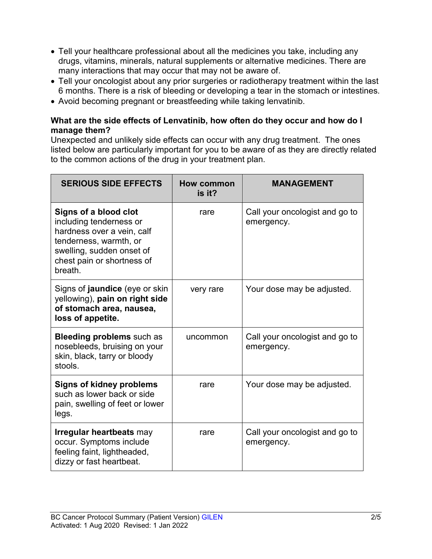- Tell your healthcare professional about all the medicines you take, including any drugs, vitamins, minerals, natural supplements or alternative medicines. There are many interactions that may occur that may not be aware of.
- Tell your oncologist about any prior surgeries or radiotherapy treatment within the last 6 months. There is a risk of bleeding or developing a tear in the stomach or intestines.
- Avoid becoming pregnant or breastfeeding while taking lenvatinib.

# **What are the side effects of Lenvatinib, how often do they occur and how do I manage them?**

Unexpected and unlikely side effects can occur with any drug treatment. The ones listed below are particularly important for you to be aware of as they are directly related to the common actions of the drug in your treatment plan.

| <b>SERIOUS SIDE EFFECTS</b>                                                                                                                                                    | How common<br>is it? | <b>MANAGEMENT</b>                            |
|--------------------------------------------------------------------------------------------------------------------------------------------------------------------------------|----------------------|----------------------------------------------|
| Signs of a blood clot<br>including tenderness or<br>hardness over a vein, calf<br>tenderness, warmth, or<br>swelling, sudden onset of<br>chest pain or shortness of<br>breath. | rare                 | Call your oncologist and go to<br>emergency. |
| Signs of <b>jaundice</b> (eye or skin<br>yellowing), pain on right side<br>of stomach area, nausea,<br>loss of appetite.                                                       | very rare            | Your dose may be adjusted.                   |
| <b>Bleeding problems</b> such as<br>nosebleeds, bruising on your<br>skin, black, tarry or bloody<br>stools.                                                                    | uncommon             | Call your oncologist and go to<br>emergency. |
| <b>Signs of kidney problems</b><br>such as lower back or side<br>pain, swelling of feet or lower<br>legs.                                                                      | rare                 | Your dose may be adjusted.                   |
| <b>Irregular heartbeats may</b><br>occur. Symptoms include<br>feeling faint, lightheaded,<br>dizzy or fast heartbeat.                                                          | rare                 | Call your oncologist and go to<br>emergency. |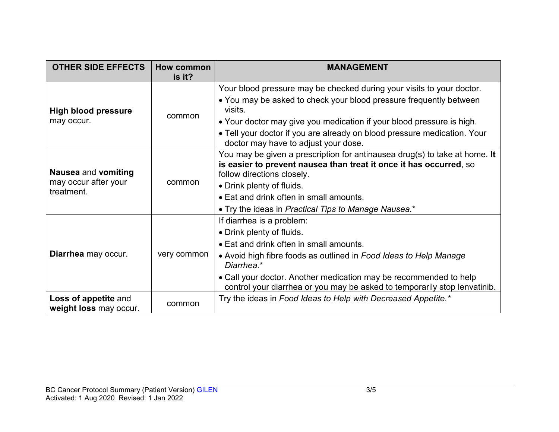| <b>OTHER SIDE EFFECTS</b>                                        | How common  | <b>MANAGEMENT</b>                                                                                                                                                              |  |
|------------------------------------------------------------------|-------------|--------------------------------------------------------------------------------------------------------------------------------------------------------------------------------|--|
|                                                                  | is it?      |                                                                                                                                                                                |  |
| <b>High blood pressure</b><br>may occur.                         | common      | Your blood pressure may be checked during your visits to your doctor.                                                                                                          |  |
|                                                                  |             | • You may be asked to check your blood pressure frequently between<br>visits.                                                                                                  |  |
|                                                                  |             | • Your doctor may give you medication if your blood pressure is high.                                                                                                          |  |
|                                                                  |             | • Tell your doctor if you are already on blood pressure medication. Your<br>doctor may have to adjust your dose.                                                               |  |
| <b>Nausea and vomiting</b><br>may occur after your<br>treatment. | common      | You may be given a prescription for antinausea drug(s) to take at home. It<br>is easier to prevent nausea than treat it once it has occurred, so<br>follow directions closely. |  |
|                                                                  |             | • Drink plenty of fluids.                                                                                                                                                      |  |
|                                                                  |             | • Eat and drink often in small amounts.                                                                                                                                        |  |
|                                                                  |             | • Try the ideas in Practical Tips to Manage Nausea.*                                                                                                                           |  |
| Diarrhea may occur.                                              | very common | If diarrhea is a problem:                                                                                                                                                      |  |
|                                                                  |             | • Drink plenty of fluids.                                                                                                                                                      |  |
|                                                                  |             | • Eat and drink often in small amounts.                                                                                                                                        |  |
|                                                                  |             | • Avoid high fibre foods as outlined in Food Ideas to Help Manage<br>Diarrhea.*                                                                                                |  |
|                                                                  |             | • Call your doctor. Another medication may be recommended to help<br>control your diarrhea or you may be asked to temporarily stop lenvatinib.                                 |  |
| Loss of appetite and<br>weight loss may occur.                   | common      | Try the ideas in Food Ideas to Help with Decreased Appetite.*                                                                                                                  |  |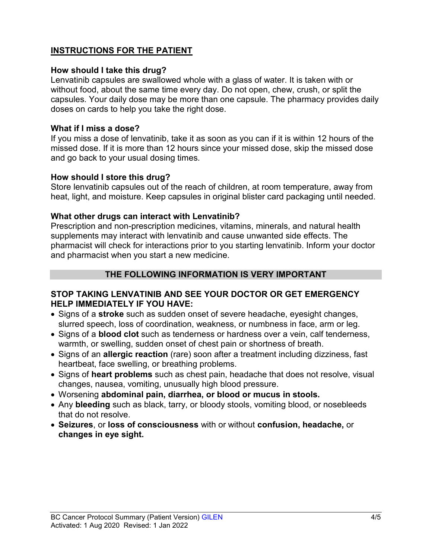# **INSTRUCTIONS FOR THE PATIENT**

### **How should I take this drug?**

Lenvatinib capsules are swallowed whole with a glass of water. It is taken with or without food, about the same time every day. Do not open, chew, crush, or split the capsules. Your daily dose may be more than one capsule. The pharmacy provides daily doses on cards to help you take the right dose.

### **What if I miss a dose?**

If you miss a dose of lenvatinib, take it as soon as you can if it is within 12 hours of the missed dose. If it is more than 12 hours since your missed dose, skip the missed dose and go back to your usual dosing times.

### **How should I store this drug?**

Store lenvatinib capsules out of the reach of children, at room temperature, away from heat, light, and moisture. Keep capsules in original blister card packaging until needed.

### **What other drugs can interact with Lenvatinib?**

Prescription and non-prescription medicines, vitamins, minerals, and natural health supplements may interact with lenvatinib and cause unwanted side effects. The pharmacist will check for interactions prior to you starting lenvatinib. Inform your doctor and pharmacist when you start a new medicine.

### **THE FOLLOWING INFORMATION IS VERY IMPORTANT**

## **STOP TAKING LENVATINIB AND SEE YOUR DOCTOR OR GET EMERGENCY HELP IMMEDIATELY IF YOU HAVE:**

- Signs of a **stroke** such as sudden onset of severe headache, eyesight changes, slurred speech, loss of coordination, weakness, or numbness in face, arm or leg.
- Signs of a **blood clot** such as tenderness or hardness over a vein, calf tenderness, warmth, or swelling, sudden onset of chest pain or shortness of breath.
- Signs of an **allergic reaction** (rare) soon after a treatment including dizziness, fast heartbeat, face swelling, or breathing problems.
- Signs of **heart problems** such as chest pain, headache that does not resolve, visual changes, nausea, vomiting, unusually high blood pressure.
- Worsening **abdominal pain, diarrhea, or blood or mucus in stools.**
- Any **bleeding** such as black, tarry, or bloody stools, vomiting blood, or nosebleeds that do not resolve.
- **Seizures**, or **loss of consciousness** with or without **confusion, headache,** or **changes in eye sight.**